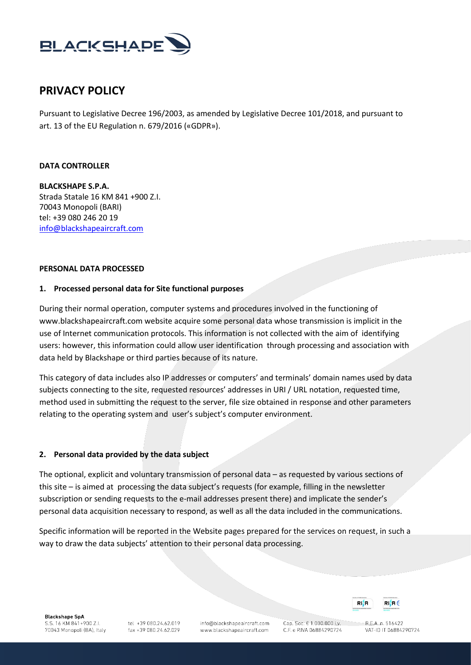

# **PRIVACY POLICY**

Pursuant to Legislative Decree 196/2003, as amended by Legislative Decree 101/2018, and pursuant to art. 13 of the EU Regulation n. 679/2016 («GDPR»).

#### **DATA CONTROLLER**

**BLACKSHAPE S.P.A.** Strada Statale 16 KM 841 +900 Z.I. 70043 Monopoli (BARI) tel: +39 080 246 20 19 [info@blackshapeaircraft.com](mailto:info@blackshapeaircraft.com)

#### **PERSONAL DATA PROCESSED**

### **1. Processed personal data for Site functional purposes**

During their normal operation, computer systems and procedures involved in the functioning of www.blackshapeaircraft.com website acquire some personal data whose transmission is implicit in the use of Internet communication protocols. This information is not collected with the aim of identifying users: however, this information could allow user identification through processing and association with data held by Blackshape or third parties because of its nature.

This category of data includes also IP addresses or computers' and terminals' domain names used by data subjects connecting to the site, requested resources' addresses in URI / URL notation, requested time, method used in submitting the request to the server, file size obtained in response and other parameters relating to the operating system and user's subject's computer environment.

### **2. Personal data provided by the data subject**

The optional, explicit and voluntary transmission of personal data – as requested by various sections of this site – is aimed at processing the data subject's requests (for example, filling in the newsletter subscription or sending requests to the e-mail addresses present there) and implicate the sender's personal data acquisition necessary to respond, as well as all the data included in the communications.

Specific information will be reported in the Website pages prepared for the services on request, in such a way to draw the data subjects' attention to their personal data processing.

**Blackshape SpA** S.S. 16 KM 841+900 Z.I. 70043 Monopoli (BA), Italy

tel: +39 080 24 62 019 fax +39 080.24.62.029 info@blackshapeaircraft.com www.blackshapeaircraft.com

Cap. Soc. € 1.000.000 i.v. C.F. e P.IVA 06884290724



 $RFA$ n 516422 VAT-ID IT 06884290724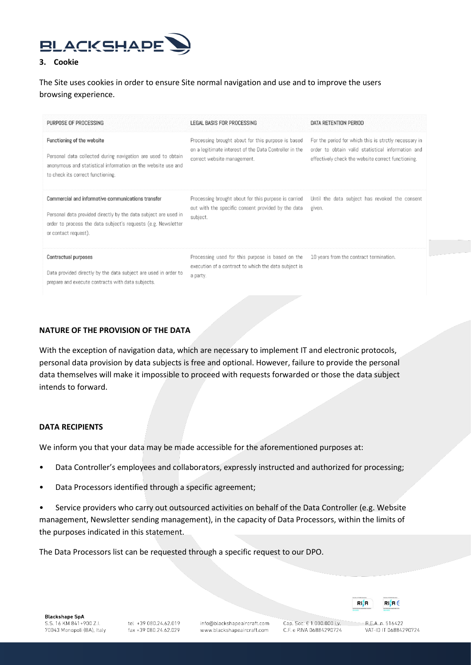

### **3. Cookie**

# The Site uses cookies in order to ensure Site normal navigation and use and to improve the users browsing experience.

| PURPOSE OF PROCESSING                                                                                                                                                                                          | LEGAL BASIS FOR PROCESSING                                                                                                                  | DATA RETENTION PERIOD                                                                                                                                            |
|----------------------------------------------------------------------------------------------------------------------------------------------------------------------------------------------------------------|---------------------------------------------------------------------------------------------------------------------------------------------|------------------------------------------------------------------------------------------------------------------------------------------------------------------|
| Functioning of the website<br>Personal data collected during navigation are used to obtain<br>anonymous and statistical information on the website use and<br>to check its correct functioning.                | Processing brought about for this purpose is based<br>on a legitimate interest of the Data Controller in the<br>correct website management. | For the period for which this is strctly necessary in<br>order to obtain valid statistical information and<br>effectively check the website correct functioning. |
| Commercial and informative communications transfer<br>Personal data provided directly by the data subject are used in<br>order to process the data subject's requests (e.g. Newsletter<br>or contact request). | Processing brought about for this purpose is carried<br>out with the specific consent provided by the data<br>subject.                      | Until the data subject has revoked the consent<br>given.                                                                                                         |
| Contractual purposes<br>Data provided directly by the data subject are used in order to<br>prepare and execute contracts with data subjects.                                                                   | Processing used for this purpose is based on the<br>execution of a contract to which the data subject is<br>a party.                        | 10 years from the contract termination.                                                                                                                          |

## **NATURE OF THE PROVISION OF THE DATA**

With the exception of navigation data, which are necessary to implement IT and electronic protocols, personal data provision by data subjects is free and optional. However, failure to provide the personal data themselves will make it impossible to proceed with requests forwarded or those the data subject intends to forward.

### **DATA RECIPIENTS**

We inform you that your data may be made accessible for the aforementioned purposes at:

- Data Controller's employees and collaborators, expressly instructed and authorized for processing;
- Data Processors identified through a specific agreement;
- Service providers who carry out outsourced activities on behalf of the Data Controller (e.g. Website management, Newsletter sending management), in the capacity of Data Processors, within the limits of the purposes indicated in this statement.

The Data Processors list can be requested through a specific request to our DPO.

**Blackshape SpA** S.S. 16 KM 841+900 Z.I. 70043 Monopoli (BA), Italy

info@blackshapeaircraft.com www.blackshapeaircraft.com

Cap. Soc. € 1.000.000 i.v. C.F. e P.IVA 06884290724



RIM

R.E.A. n. 516422 VAT-ID IT 06884290724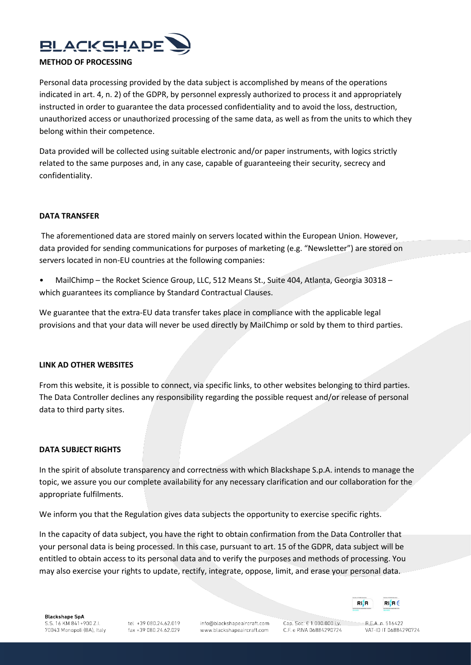

Personal data processing provided by the data subject is accomplished by means of the operations indicated in art. 4, n. 2) of the GDPR, by personnel expressly authorized to process it and appropriately instructed in order to guarantee the data processed confidentiality and to avoid the loss, destruction, unauthorized access or unauthorized processing of the same data, as well as from the units to which they belong within their competence.

Data provided will be collected using suitable electronic and/or paper instruments, with logics strictly related to the same purposes and, in any case, capable of guaranteeing their security, secrecy and confidentiality.

### **DATA TRANSFER**

The aforementioned data are stored mainly on servers located within the European Union. However, data provided for sending communications for purposes of marketing (e.g. "Newsletter") are stored on servers located in non-EU countries at the following companies:

• MailChimp – the Rocket Science Group, LLC, 512 Means St., Suite 404, Atlanta, Georgia 30318 – which guarantees its compliance by Standard Contractual Clauses.

We guarantee that the extra-EU data transfer takes place in compliance with the applicable legal provisions and that your data will never be used directly by MailChimp or sold by them to third parties.

#### **LINK AD OTHER WEBSITES**

From this website, it is possible to connect, via specific links, to other websites belonging to third parties. The Data Controller declines any responsibility regarding the possible request and/or release of personal data to third party sites.

#### **DATA SUBJECT RIGHTS**

In the spirit of absolute transparency and correctness with which Blackshape S.p.A. intends to manage the topic, we assure you our complete availability for any necessary clarification and our collaboration for the appropriate fulfilments.

We inform you that the Regulation gives data subjects the opportunity to exercise specific rights.

In the capacity of data subject, you have the right to obtain confirmation from the Data Controller that your personal data is being processed. In this case, pursuant to art. 15 of the GDPR, data subject will be entitled to obtain access to its personal data and to verify the purposes and methods of processing. You may also exercise your rights to update, rectify, integrate, oppose, limit, and erase your personal data.

info@blackshapeaircraft.com www.blackshapeaircraft.com

Cap. Soc. € 1.000.000 i.v. C.F. e P.IVA 06884290724

RIM  $RI$ **H** $\in$ 

> $RFA$ n 516422 VAT-ID IT 06884290724